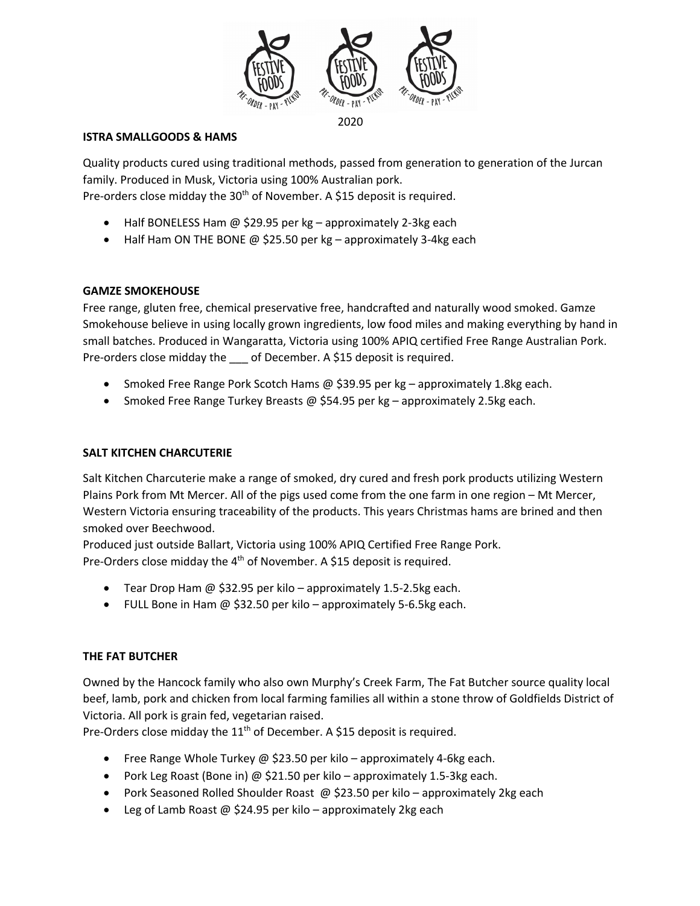

### **ISTRA SMALLGOODS & HAMS**

Quality products cured using traditional methods, passed from generation to generation of the Jurcan family. Produced in Musk, Victoria using 100% Australian pork. Pre-orders close midday the 30<sup>th</sup> of November. A \$15 deposit is required.

- Half BONELESS Ham @ \$29.95 per kg approximately 2-3kg each
- Half Ham ON THE BONE @ \$25.50 per kg approximately 3-4kg each

# **GAMZE SMOKEHOUSE**

Free range, gluten free, chemical preservative free, handcrafted and naturally wood smoked. Gamze Smokehouse believe in using locally grown ingredients, low food miles and making everything by hand in small batches. Produced in Wangaratta, Victoria using 100% APIQ certified Free Range Australian Pork. Pre-orders close midday the \_\_\_ of December. A \$15 deposit is required.

- Smoked Free Range Pork Scotch Hams @ \$39.95 per kg approximately 1.8kg each.
- Smoked Free Range Turkey Breasts @ \$54.95 per kg approximately 2.5kg each.

## **SALT KITCHEN CHARCUTERIE**

Salt Kitchen Charcuterie make a range of smoked, dry cured and fresh pork products utilizing Western Plains Pork from Mt Mercer. All of the pigs used come from the one farm in one region – Mt Mercer, Western Victoria ensuring traceability of the products. This years Christmas hams are brined and then smoked over Beechwood.

Produced just outside Ballart, Victoria using 100% APIQ Certified Free Range Pork. Pre-Orders close midday the  $4<sup>th</sup>$  of November. A \$15 deposit is required.

- Tear Drop Ham @ \$32.95 per kilo approximately 1.5-2.5kg each.
- FULL Bone in Ham @ \$32.50 per kilo approximately 5-6.5kg each.

# **THE FAT BUTCHER**

Owned by the Hancock family who also own Murphy's Creek Farm, The Fat Butcher source quality local beef, lamb, pork and chicken from local farming families all within a stone throw of Goldfields District of Victoria. All pork is grain fed, vegetarian raised.

Pre-Orders close midday the 11<sup>th</sup> of December. A \$15 deposit is required.

- Free Range Whole Turkey @ \$23.50 per kilo approximately 4-6kg each.
- Pork Leg Roast (Bone in) @ \$21.50 per kilo approximately 1.5-3kg each.
- Pork Seasoned Rolled Shoulder Roast @ \$23.50 per kilo approximately 2kg each
- Leg of Lamb Roast @ \$24.95 per kilo approximately 2kg each